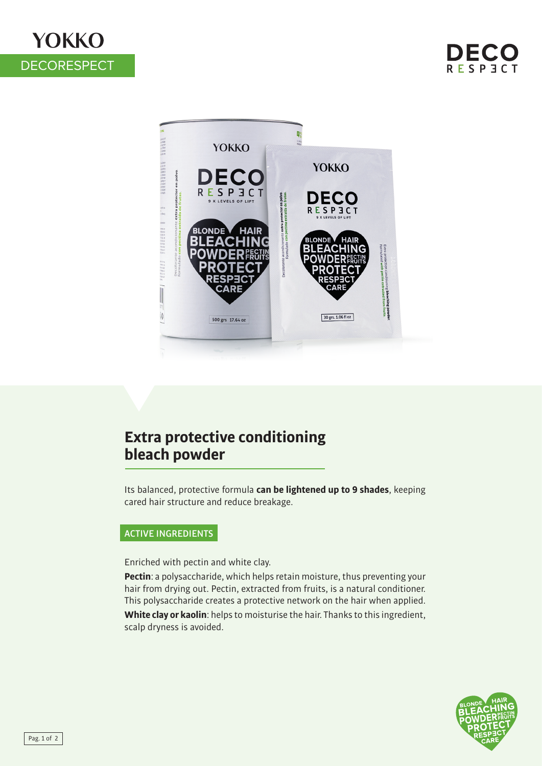# **YOKKO DECORESPECT**



## **Extra protective conditioning bleach powder**

Its balanced, protective formula **can be lightened up to 9 shades**, keeping cared hair structure and reduce breakage.

### ACTIVE INGREDIENTS

Enriched with pectin and white clay.

**Pectin**: a polysaccharide, which helps retain moisture, thus preventing your hair from drying out. Pectin, extracted from fruits, is a natural conditioner. This polysaccharide creates a protective network on the hair when applied. **White clay or kaolin**: helps to moisturise the hair. Thanks to this ingredient, scalp dryness is avoided.